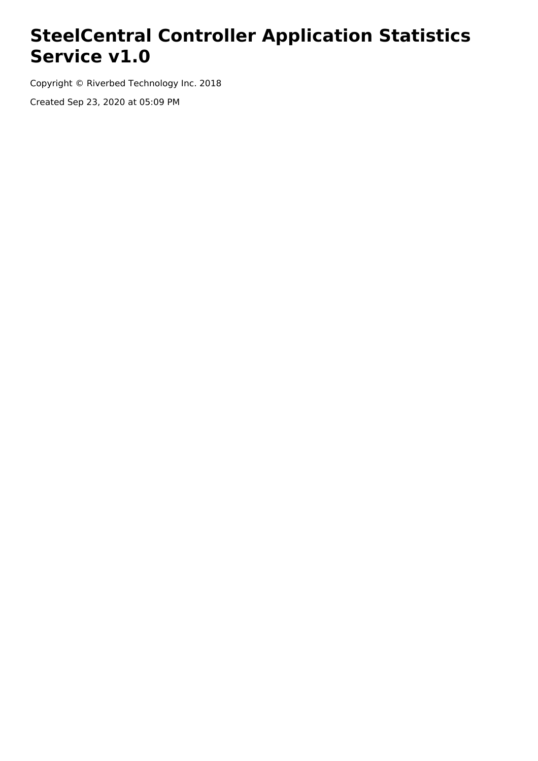# **SteelCentral Controller Application Statistics Service v1.0**

Copyright © Riverbed Technology Inc. 2018

Created Sep 23, 2020 at 05:09 PM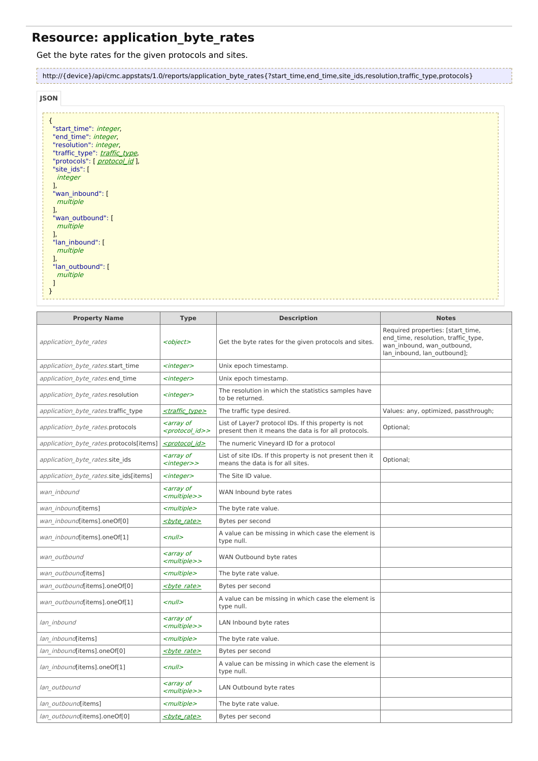## **Resource: application\_byte\_rates**

Get the byte rates for the given protocols and sites.

http://{device}/api/cmc.appstats/1.0/reports/application\_byte\_rates{?start\_time,end\_time,site\_ids,resolution,traffic\_type,protocols}

| ſ<br>"start time": integer,<br>"end time": <i>integer</i> ,<br>"resolution": integer,<br>"traffic type": <i>traffic type</i> ,<br>"protocols": [ <i>protocol id</i> ],<br>"site ids": [<br>integer |
|----------------------------------------------------------------------------------------------------------------------------------------------------------------------------------------------------|
| 1,                                                                                                                                                                                                 |
|                                                                                                                                                                                                    |
| "wan inbound": [                                                                                                                                                                                   |
| multiple                                                                                                                                                                                           |
| 1.                                                                                                                                                                                                 |
| "wan outbound": [                                                                                                                                                                                  |
| multiple                                                                                                                                                                                           |
| 1.                                                                                                                                                                                                 |
| "lan inbound": [                                                                                                                                                                                   |
|                                                                                                                                                                                                    |
| multiple                                                                                                                                                                                           |
| 1,                                                                                                                                                                                                 |
| "lan outbound": [                                                                                                                                                                                  |
| multiple                                                                                                                                                                                           |
| 1                                                                                                                                                                                                  |
| ł                                                                                                                                                                                                  |
|                                                                                                                                                                                                    |

| <b>Property Name</b>                    | <b>Type</b>                                                       | <b>Description</b>                                                                                           | <b>Notes</b>                                                                                                                          |
|-----------------------------------------|-------------------------------------------------------------------|--------------------------------------------------------------------------------------------------------------|---------------------------------------------------------------------------------------------------------------------------------------|
| application byte rates                  | <object></object>                                                 | Get the byte rates for the given protocols and sites.                                                        | Required properties: [start_time,<br>end time, resolution, traffic type,<br>wan inbound, wan outbound,<br>lan inbound, lan outbound]; |
| application byte rates.start time       | <integer></integer>                                               | Unix epoch timestamp.                                                                                        |                                                                                                                                       |
| application byte rates.end time         | $<$ integer $>$                                                   | Unix epoch timestamp.                                                                                        |                                                                                                                                       |
| application byte rates.resolution       | <integer></integer>                                               | The resolution in which the statistics samples have<br>to be returned.                                       |                                                                                                                                       |
| application byte rates.traffic type     | <traffic type=""></traffic>                                       | The traffic type desired.                                                                                    | Values: any, optimized, passthrough;                                                                                                  |
| application byte rates.protocols        | <array of<br=""><protocol id="">&gt;</protocol></array>           | List of Layer7 protocol IDs. If this property is not<br>present then it means the data is for all protocols. | Optional;                                                                                                                             |
| application byte rates.protocols[items] | <protocol id=""></protocol>                                       | The numeric Vineyard ID for a protocol                                                                       |                                                                                                                                       |
| application byte rates.site ids         | <array of<br=""><math>&lt;</math>integer<math>&gt;</math></array> | List of site IDs. If this property is not present then it<br>means the data is for all sites.                | Optional;                                                                                                                             |
| application byte rates.site ids[items]  | <integer></integer>                                               | The Site ID value.                                                                                           |                                                                                                                                       |
| wan inbound                             | <array of<br=""><multiple>&gt;</multiple></array>                 | WAN Inbound byte rates                                                                                       |                                                                                                                                       |
| wan inbound[items]                      | <multiple></multiple>                                             | The byte rate value.                                                                                         |                                                                                                                                       |
| wan inbound[items].oneOf[0]             | <byte rate=""></byte>                                             | Bytes per second                                                                                             |                                                                                                                                       |
| wan inbound[items].oneOf[1]             | $<$ null $>$                                                      | A value can be missing in which case the element is<br>type null.                                            |                                                                                                                                       |
| wan outbound                            | <array of<br=""><multiple>&gt;</multiple></array>                 | WAN Outbound byte rates                                                                                      |                                                                                                                                       |
| wan outbound[items]                     | <multiple></multiple>                                             | The byte rate value.                                                                                         |                                                                                                                                       |
| wan outbound[items].oneOf[0]            | <byte rate=""></byte>                                             | Bytes per second                                                                                             |                                                                                                                                       |
| wan outbound[items].oneOf[1]            | $\langle null \rangle$                                            | A value can be missing in which case the element is<br>type null.                                            |                                                                                                                                       |
| lan inbound                             | <array of<br=""><multiple>&gt;</multiple></array>                 | LAN Inbound byte rates                                                                                       |                                                                                                                                       |
| lan inbound[items]                      | <multiple></multiple>                                             | The byte rate value.                                                                                         |                                                                                                                                       |
| lan inbound[items].oneOf[0]             | <byte rate=""></byte>                                             | Bytes per second                                                                                             |                                                                                                                                       |
| lan inbound[items].oneOf[1]             | $\leq$ null $>$                                                   | A value can be missing in which case the element is<br>type null.                                            |                                                                                                                                       |
| lan outbound                            | <array of<br=""><multiple>&gt;</multiple></array>                 | LAN Outbound byte rates                                                                                      |                                                                                                                                       |
| lan outbound[items]                     | <multiple></multiple>                                             | The byte rate value.                                                                                         |                                                                                                                                       |
| lan outbound[items].oneOf[0]            | <byte rate=""></byte>                                             | Bytes per second                                                                                             |                                                                                                                                       |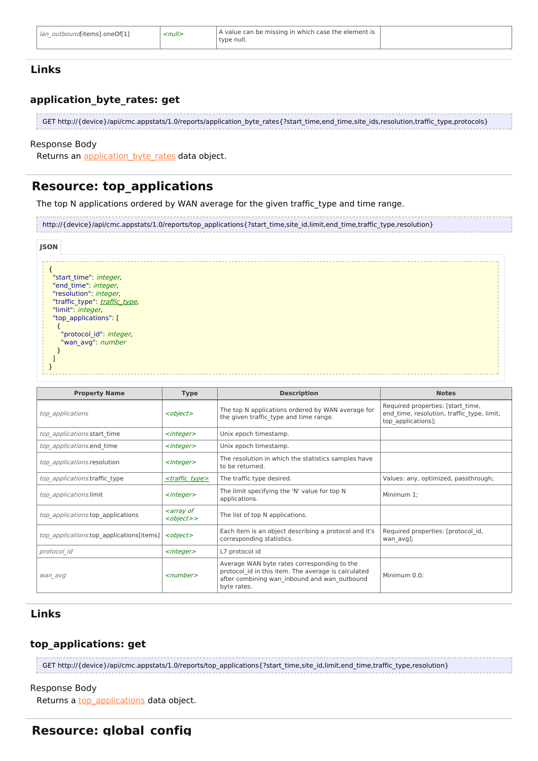| lan outbound[items].oneOf[1] | $\leq$ null $\geq$ | A value can be missing in which case the element is<br>' type null. |  |
|------------------------------|--------------------|---------------------------------------------------------------------|--|
|                              |                    |                                                                     |  |

#### **Links**

#### **application\_byte\_rates: get**

```
GET http://{device}/api/cmc.appstats/1.0/reports/application_byte_rates{?start_time,end_time,site_ids,resolution,traffic_type,protocols}
```
#### Response Body

Returns an application byte rates data object.

### **Resource: top\_applications**

The top N applications ordered by WAN average for the given traffic type and time range.

{ "start\_time": integer, "end\_time": integer, "resolution": integer, "[traffic\\_type](http://support.riverbed.com/apis/cmc.appstats/1.0#/types/traffic_type)": traffic\_type, "limit": integer, "top\_applications": [ { "protocol\_id": integer, "wan\_avg": number } ] } http://{device}/api/cmc.appstats/1.0/reports/top\_applications{?start\_time,site\_id,limit,end\_time,traffic\_type,resolution} **JSON**

| <b>Property Name</b>                     | <b>Type</b>                                             | <b>Description</b>                                                                                                                                                | <b>Notes</b>                                                                                          |
|------------------------------------------|---------------------------------------------------------|-------------------------------------------------------------------------------------------------------------------------------------------------------------------|-------------------------------------------------------------------------------------------------------|
| top applications                         | <object></object>                                       | The top N applications ordered by WAN average for<br>the given traffic type and time range.                                                                       | Required properties: [start time,<br>end time, resolution, traffic type, limit,<br>top applications]; |
| top applications.start time              | <integer></integer>                                     | Unix epoch timestamp.                                                                                                                                             |                                                                                                       |
| top applications.end time                | $<$ integer $>$                                         | Unix epoch timestamp.                                                                                                                                             |                                                                                                       |
| top applications.resolution              | $<$ integer $>$                                         | The resolution in which the statistics samples have<br>to be returned.                                                                                            |                                                                                                       |
| top applications.traffic type            | <traffic type=""></traffic>                             | The traffic type desired.                                                                                                                                         | Values: any, optimized, passthrough;                                                                  |
| top applications.limit                   | $<$ integer $>$                                         | The limit specifying the 'N' value for top N<br>applications.                                                                                                     | Minimum 1:                                                                                            |
| top applications.top applications        | <array of<br=""><math>&lt;</math>object&gt;&gt;</array> | The list of top N applications.                                                                                                                                   |                                                                                                       |
| top applications.top applications[items] | <object></object>                                       | Each item is an object describing a protocol and it's<br>corresponding statistics.                                                                                | Required properties: [protocol id,<br>wan avg];                                                       |
| protocol id                              | $<$ integer $>$                                         | L7 protocol id                                                                                                                                                    |                                                                                                       |
| wan avg                                  | $<$ number $>$                                          | Average WAN byte rates corresponding to the<br>protocol id in this item. The average is calculated<br>after combining wan inbound and wan outbound<br>byte rates. | Minimum 0.0:                                                                                          |

#### **Links**

#### **top\_applications: get**

GET http://{device}/api/cmc.appstats/1.0/reports/top\_applications{?start\_time,site\_id,limit,end\_time,traffic\_type,resolution}

#### Response Body

Returns a **[top\\_applications](http://support.riverbed.com/apis/cmc.appstats/1.0#/resources/top_applications)** data object.

## **Resource: global\_config**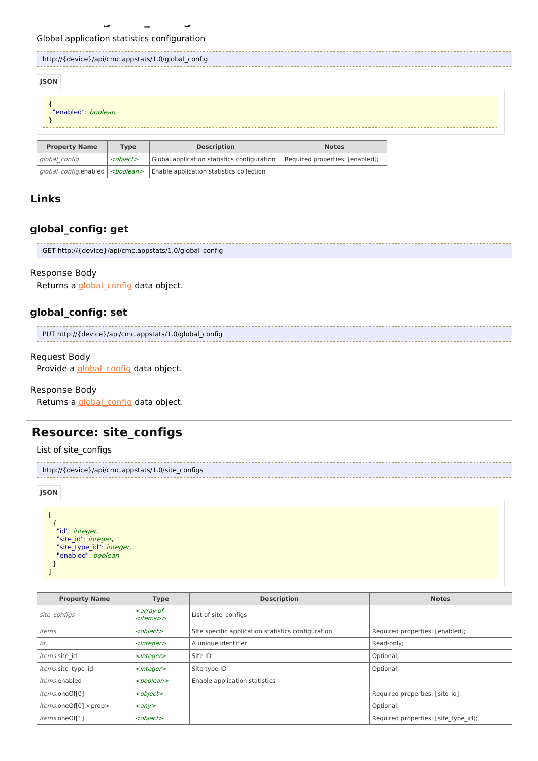#### Global application statistics configuration

**Resource: global\_config**

#### http://{device}/api/cmc.appstats/1.0/global\_config

| <b>JSON</b> |  |                    |  |  |  |  |  |  |  |  |  |  |  |  |
|-------------|--|--------------------|--|--|--|--|--|--|--|--|--|--|--|--|
|             |  | "enabled": boolean |  |  |  |  |  |  |  |  |  |  |  |  |
|             |  |                    |  |  |  |  |  |  |  |  |  |  |  |  |

| <b>Property Name</b> | Type              | <b>Description</b>                                                                                 | <b>Notes</b>                    |
|----------------------|-------------------|----------------------------------------------------------------------------------------------------|---------------------------------|
| global config        | <object></object> | Global application statistics configuration                                                        | Required properties: [enabled]; |
|                      |                   | $\vert$ global config.enabled $\vert$<br>boolean> $\vert$ Enable application statistics collection |                                 |

#### **Links**

#### **global\_config: get**

| GET http://{device}/api/cmc.appstats/1.0/global_config |
|--------------------------------------------------------|
|                                                        |

#### Response Body

Returns a *global* config data object.

#### **global\_config: set**

| PUT http://{device}/api/cmc.appstats/1.0/global_config |  |
|--------------------------------------------------------|--|
|                                                        |  |

#### Request Body

Provide a *[global\\_config](http://support.riverbed.com/apis/cmc.appstats/1.0#/resources/global_config)* data object.

#### Response Body

Returns a *[global\\_config](http://support.riverbed.com/apis/cmc.appstats/1.0#/resources/global_config)* data object.

## **Resource: site\_configs**

List of site\_configs

```
http://{device}/api/cmc.appstats/1.0/site_configs
```
## $\lceil$ **JSON**



| <b>Property Name</b>          | <b>Type</b>                                                | <b>Description</b>                                 | <b>Notes</b>                         |
|-------------------------------|------------------------------------------------------------|----------------------------------------------------|--------------------------------------|
| site configs                  | <i><b><array b="" of<=""></array></b></i><br>$<$ items $>$ | List of site configs                               |                                      |
| items                         | <object></object>                                          | Site specific application statistics configuration | Required properties: [enabled];      |
| id                            | $<$ integer $>$                                            | A unique identifier                                | Read-only;                           |
| <i>items.site</i> id          | $<$ integer $>$                                            | Site ID                                            | Optional;                            |
| items.site type id            | $<$ integer $>$                                            | Site type ID                                       | Optional;                            |
| items.enabled                 | $<$ boolean $>$                                            | Enable application statistics                      |                                      |
| <i>items.</i> oneOf[0]        | <object></object>                                          |                                                    | Required properties: [site id];      |
| items.oneOf[0]. <prop></prop> | $\langle \text{any} \rangle$                               |                                                    | Optional;                            |
| items.oneOf[1]                | <object></object>                                          |                                                    | Required properties: [site type id]; |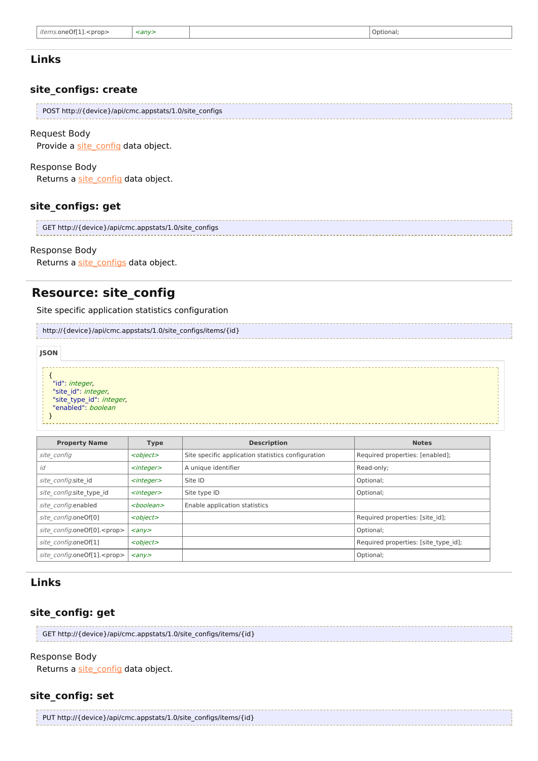|  | items.oneOf[1]. <prop></prop> | $\langle$ anv $>$ |  | ' Optional, |
|--|-------------------------------|-------------------|--|-------------|
|--|-------------------------------|-------------------|--|-------------|

#### **Links**

#### **site\_configs: create**

| POST http://{device}/api/cmc.appstats/1.0/site_configs |
|--------------------------------------------------------|
|                                                        |

#### Request Body

Provide a [site\\_config](http://support.riverbed.com/apis/cmc.appstats/1.0#/resources/site_config) data object.

#### Response Body

Returns a [site\\_config](http://support.riverbed.com/apis/cmc.appstats/1.0#/resources/site_config) data object.

#### **site\_configs: get**

GET http://{device}/api/cmc.appstats/1.0/site\_configs 

#### Response Body

Returns a [site\\_configs](http://support.riverbed.com/apis/cmc.appstats/1.0#/resources/site_configs) data object.

## **Resource: site\_config**

Site specific application statistics configuration

|             | http://{device}/api/cmc.appstats/1.0/site_configs/items/{id}                            |  |
|-------------|-----------------------------------------------------------------------------------------|--|
| <b>JSON</b> |                                                                                         |  |
|             | "id": integer,<br>"site_id": integer,<br>"site_type_id": integer,<br>"enabled": boolean |  |

| <b>Property Name</b>                | <b>Type</b>                  | <b>Description</b>                                 | <b>Notes</b>                         |
|-------------------------------------|------------------------------|----------------------------------------------------|--------------------------------------|
| site config                         | <object></object>            | Site specific application statistics configuration | Required properties: [enabled];      |
| id                                  | $<$ integer $>$              | A unique identifier                                | Read-only;                           |
| site config.site id                 | $<$ integer $>$              | Site ID                                            | Optional;                            |
| site config.site type id            | $<$ integer $>$              | Site type ID                                       | Optional;                            |
| site config.enabled                 | $<$ boolean $>$              | Enable application statistics                      |                                      |
| site config.oneOf[0]                | <object></object>            |                                                    | Required properties: [site id];      |
| site config.oneOf[0]. <prop></prop> | $\langle \text{any} \rangle$ |                                                    | Optional;                            |
| site config.oneOf[1]                | <object></object>            |                                                    | Required properties: [site type id]; |
| site config.oneOf[1]. <prop></prop> | $\langle$ any $\rangle$      |                                                    | Optional;                            |

#### **Links**

#### **site\_config: get**

| GET http://{device}/api/cmc.appstats/1.0/site_configs/items/{id} |  |
|------------------------------------------------------------------|--|
|                                                                  |  |

#### Response Body

Returns a [site\\_config](http://support.riverbed.com/apis/cmc.appstats/1.0#/resources/site_config) data object.

#### **site\_config: set**

| PUT http://{device}/api/cmc.appstats/1.0/site configs/items/{id} |  |
|------------------------------------------------------------------|--|
|                                                                  |  |
|                                                                  |  |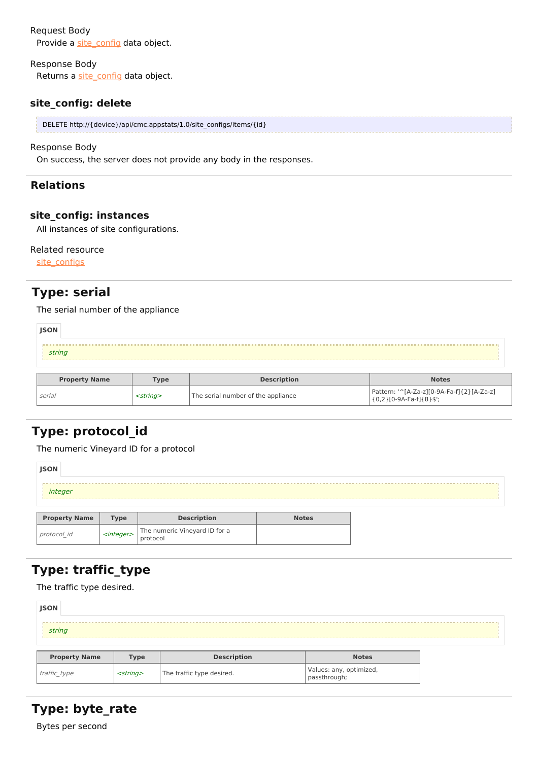Request Body Provide a [site\\_config](http://support.riverbed.com/apis/cmc.appstats/1.0#/resources/site_config) data object.

Response Body Returns a [site\\_config](http://support.riverbed.com/apis/cmc.appstats/1.0#/resources/site_config) data object.

#### **site\_config: delete**

| DELETE http://{device}/api/cmc.appstats/1.0/site_configs/items/{id} |  |
|---------------------------------------------------------------------|--|
|                                                                     |  |

#### Response Body

On success, the server does not provide any body in the responses.

#### **Relations**

#### **site\_config: instances**

All instances of site configurations.

Related resource

[site\\_configs](http://support.riverbed.com/apis/cmc.appstats/1.0#/resources/site_configs)

### **Type: serial**

The serial number of the appliance

| <b>JSON</b> |        |
|-------------|--------|
|             |        |
|             | string |
|             |        |

| <b>Property Name</b> | Type           | <b>Description</b>                 | <b>Notes</b>                                                           |
|----------------------|----------------|------------------------------------|------------------------------------------------------------------------|
| serial               | $<$ string $>$ | The serial number of the appliance | Pattern: '^[A-Za-z][0-9A-Fa-f]{2}[A-Za-z]<br>  {0,2}[0-9A-Fa-f]{8}\$'; |

## **Type: protocol\_id**

The numeric Vineyard ID for a protocol

| <b>JSON</b>          |             |                                                                             |              |  |  |  |
|----------------------|-------------|-----------------------------------------------------------------------------|--------------|--|--|--|
| integer              |             |                                                                             |              |  |  |  |
|                      |             |                                                                             |              |  |  |  |
| <b>Property Name</b> | <b>Type</b> | <b>Description</b>                                                          | <b>Notes</b> |  |  |  |
| protocol id          |             | $\vert$ < <i>integer&gt;</i> $\vert$ The numeric Vineyard ID for a protocol |              |  |  |  |

## **Type: traffic\_type**

The traffic type desired.

| <b>JSON</b>          |             |                    |                                         |  |  |  |  |
|----------------------|-------------|--------------------|-----------------------------------------|--|--|--|--|
| string               |             |                    |                                         |  |  |  |  |
| <b>Property Name</b> | <b>Type</b> | <b>Description</b> | <b>Notes</b>                            |  |  |  |  |
|                      |             |                    | Values: any, optimized,<br>passthrough; |  |  |  |  |

## **Type: byte\_rate**

Bytes per second